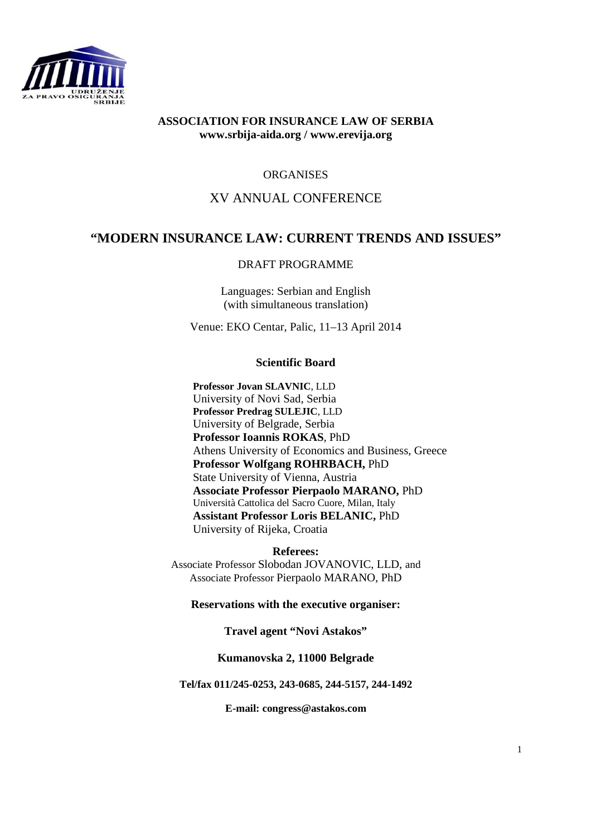

## **ASSOCIATION FOR INSURANCE LAW OF SERBIA www.srbija-aida.org / www.erevija.org**

# ORGANISES

# XV ANNUAL CONFERENCE

# **"MODERN INSURANCE LAW: CURRENT TRENDS AND ISSUES"**

## DRAFT PROGRAMME

Languages: Serbian and English (with simultaneous translation)

Venue: EKO Centar, Palic, 11–13 April 2014

#### **Scientific Board**

**Professor Jovan SLAVNIC**, LLD University of Novi Sad, Serbia **Professor Predrag SULEJIC**, LLD University of Belgrade, Serbia **Professor Ioannis ROKAS**, PhD Athens University of Economics and Business, Greece **Professor Wolfgang ROHRBACH,** PhD State University of Vienna, Austria **Associate Professor Pierpaolo MARANO,** PhD Università Cattolica del Sacro Cuore, Milan, Italy **Assistant Professor Loris BELANIC,** PhD University of Rijeka, Croatia

**Referees:** Associate Professor Slobodan JOVANOVIC, LLD, and Associate Professor Pierpaolo MARANO, PhD

**Reservations with the executive organiser:** 

#### **Travel agent "Novi Astakos"**

#### **Kumanovska 2, 11000 Belgrade**

#### **Tel/fax 011/245-0253, 243-0685, 244-5157, 244-1492**

**E-mail: congress@astakos.com**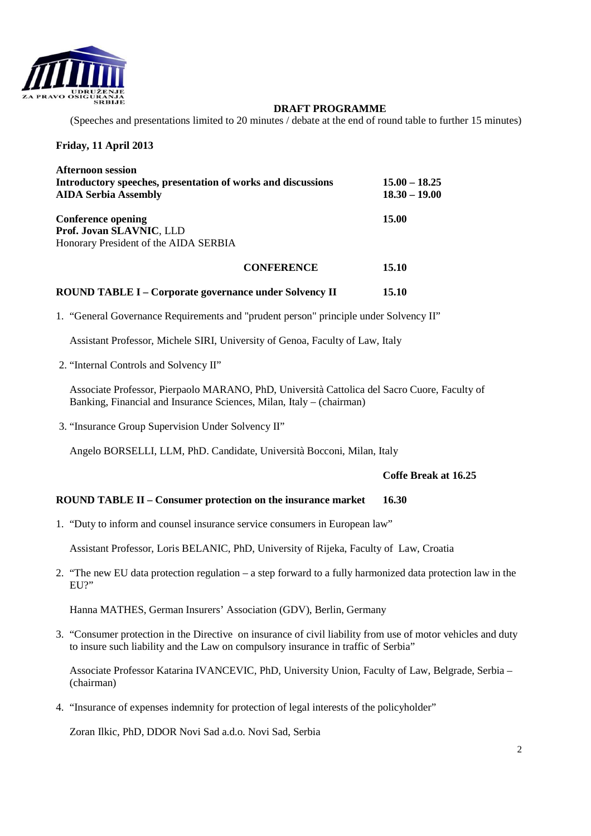

#### **DRAFT PROGRAMME**

(Speeches and presentations limited to 20 minutes / debate at the end of round table to further 15 minutes)

#### **Friday, 11 April 2013**

| <b>Afternoon session</b><br>Introductory speeches, presentation of works and discussions<br><b>AIDA Serbia Assembly</b> | $15.00 - 18.25$<br>$18.30 - 19.00$ |       |
|-------------------------------------------------------------------------------------------------------------------------|------------------------------------|-------|
| <b>Conference opening</b><br>Prof. Jovan SLAVNIC, LLD<br>Honorary President of the AIDA SERBIA                          |                                    | 15.00 |
|                                                                                                                         | <b>CONFERENCE</b>                  | 15.10 |

#### **ROUND TABLE I – Corporate governance under Solvency II 15.10**

1. "General Governance Requirements and "prudent person" principle under Solvency II"

Assistant Professor, Michele SIRI, University of Genoa, Faculty of Law, Italy

2. "Internal Controls and Solvency II"

Associate Professor, Pierpaolo MARANO, PhD, Università Cattolica del Sacro Cuore, Faculty of Banking, Financial and Insurance Sciences, Milan, Italy – (chairman)

3. "Insurance Group Supervision Under Solvency II"

Angelo BORSELLI, LLM, PhD. Candidate, Università Bocconi, Milan, Italy

#### **Coffe Break at 16.25**

#### **ROUND TABLE II – Consumer protection on the insurance market 16.30**

1. "Duty to inform and counsel insurance service consumers in European law"

Assistant Professor, Loris BELANIC, PhD, University of Rijeka, Faculty of Law, Croatia

2. "The new EU data protection regulation – a step forward to a fully harmonized data protection law in the EU?"

Hanna MATHES, German Insurers' Association (GDV), Berlin, Germany

3. "Consumer protection in the Directive on insurance of civil liability from use of motor vehicles and duty to insure such liability and the Law on compulsory insurance in traffic of Serbia"

Associate Professor Katarina IVANCEVIC, PhD, University Union, Faculty of Law, Belgrade, Serbia – (chairman)

4. "Insurance of expenses indemnity for protection of legal interests of the policyholder"

Zoran Ilkic, PhD, DDOR Novi Sad a.d.o. Novi Sad, Serbia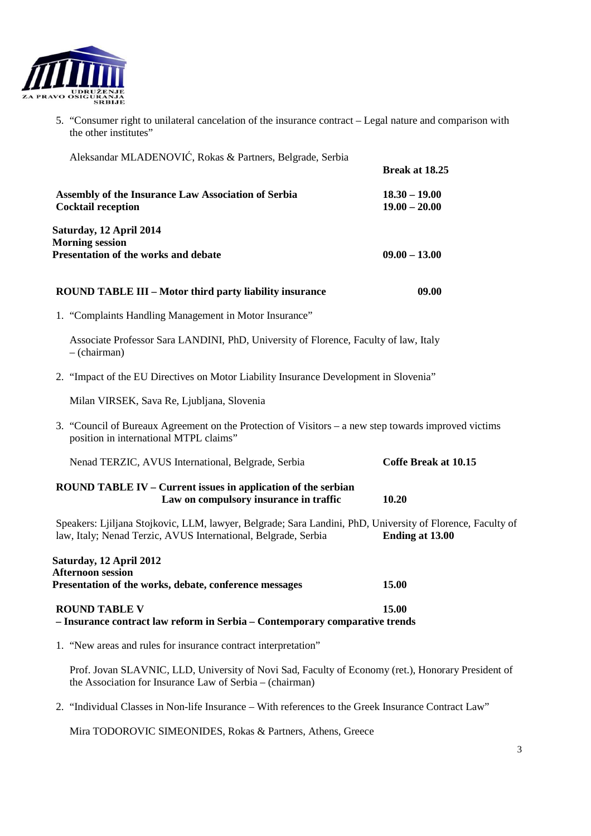

5. "Consumer right to unilateral cancelation of the insurance contract – Legal nature and comparison with the other institutes"

| Aleksandar MLADENOVIĆ, Rokas & Partners, Belgrade, Serbia                                                                                                                    |                                    |  |
|------------------------------------------------------------------------------------------------------------------------------------------------------------------------------|------------------------------------|--|
|                                                                                                                                                                              | Break at 18.25                     |  |
| Assembly of the Insurance Law Association of Serbia<br><b>Cocktail reception</b>                                                                                             | $18.30 - 19.00$<br>$19.00 - 20.00$ |  |
| Saturday, 12 April 2014                                                                                                                                                      |                                    |  |
| <b>Morning session</b><br>Presentation of the works and debate                                                                                                               | $09.00 - 13.00$                    |  |
| <b>ROUND TABLE III - Motor third party liability insurance</b>                                                                                                               | 09.00                              |  |
| 1. "Complaints Handling Management in Motor Insurance"                                                                                                                       |                                    |  |
| Associate Professor Sara LANDINI, PhD, University of Florence, Faculty of law, Italy<br>$-$ (chairman)                                                                       |                                    |  |
| 2. "Impact of the EU Directives on Motor Liability Insurance Development in Slovenia"                                                                                        |                                    |  |
| Milan VIRSEK, Sava Re, Ljubljana, Slovenia                                                                                                                                   |                                    |  |
| 3. "Council of Bureaux Agreement on the Protection of Visitors – a new step towards improved victims<br>position in international MTPL claims"                               |                                    |  |
| Nenad TERZIC, AVUS International, Belgrade, Serbia                                                                                                                           | <b>Coffe Break at 10.15</b>        |  |
| ROUND TABLE IV – Current issues in application of the serbian<br>Law on compulsory insurance in traffic                                                                      | 10.20                              |  |
| Speakers: Ljiljana Stojkovic, LLM, lawyer, Belgrade; Sara Landini, PhD, University of Florence, Faculty of<br>law, Italy; Nenad Terzic, AVUS International, Belgrade, Serbia | Ending at 13.00                    |  |
| Saturday, 12 April 2012<br><b>Afternoon session</b><br>Presentation of the works, debate, conference messages                                                                | 15.00                              |  |
| <b>ROUND TABLE V</b><br>- Insurance contract law reform in Serbia - Contemporary comparative trends                                                                          | 15.00                              |  |
| 1. "New areas and rules for insurance contract interpretation"                                                                                                               |                                    |  |
| Prof. Jovan SLAVNIC, LLD, University of Novi Sad, Faculty of Economy (ret.), Honorary President of<br>the Association for Insurance Law of Serbia – (chairman)               |                                    |  |
| 2. "Individual Classes in Non-life Insurance – With references to the Greek Insurance Contract Law"                                                                          |                                    |  |

Mira TODOROVIC SIMEONIDES, Rokas & Partners, Athens, Greece